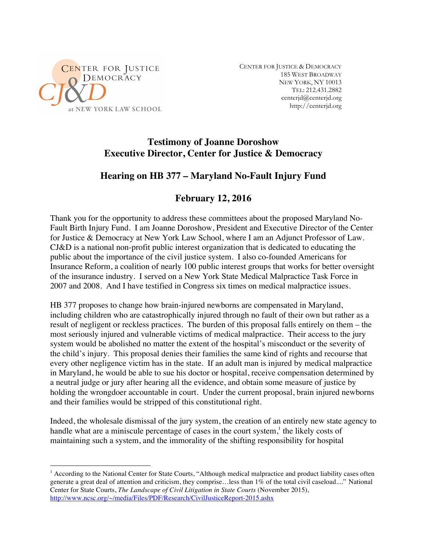

CENTER FOR JUSTICE & DEMOCRACY 185 WEST BROADWAY NEW YORK, NY 10013 TEL: 212.431.2882 centerjd@centerjd.org http://centerjd.org

#### **Testimony of Joanne Doroshow Executive Director, Center for Justice & Democracy**

## **Hearing on HB 377 – Maryland No-Fault Injury Fund**

# **February 12, 2016**

Thank you for the opportunity to address these committees about the proposed Maryland No-Fault Birth Injury Fund. I am Joanne Doroshow, President and Executive Director of the Center for Justice & Democracy at New York Law School, where I am an Adjunct Professor of Law. CJ&D is a national non-profit public interest organization that is dedicated to educating the public about the importance of the civil justice system. I also co-founded Americans for Insurance Reform, a coalition of nearly 100 public interest groups that works for better oversight of the insurance industry. I served on a New York State Medical Malpractice Task Force in 2007 and 2008. And I have testified in Congress six times on medical malpractice issues.

HB 377 proposes to change how brain-injured newborns are compensated in Maryland, including children who are catastrophically injured through no fault of their own but rather as a result of negligent or reckless practices. The burden of this proposal falls entirely on them – the most seriously injured and vulnerable victims of medical malpractice. Their access to the jury system would be abolished no matter the extent of the hospital's misconduct or the severity of the child's injury. This proposal denies their families the same kind of rights and recourse that every other negligence victim has in the state. If an adult man is injured by medical malpractice in Maryland, he would be able to sue his doctor or hospital, receive compensation determined by a neutral judge or jury after hearing all the evidence, and obtain some measure of justice by holding the wrongdoer accountable in court. Under the current proposal, brain injured newborns and their families would be stripped of this constitutional right.

Indeed, the wholesale dismissal of the jury system, the creation of an entirely new state agency to handle what are a miniscule percentage of cases in the court system,<sup>1</sup> the likely costs of maintaining such a system, and the immorality of the shifting responsibility for hospital

<sup>&</sup>lt;sup>1</sup> According to the National Center for State Courts, "Although medical malpractice and product liability cases often generate a great deal of attention and criticism, they comprise…less than 1% of the total civil caseload...." National Center for State Courts, *The Landscape of Civil Litigation in State Courts* (November 2015), http://www.ncsc.org/~/media/Files/PDF/Research/CivilJusticeReport-2015.ashx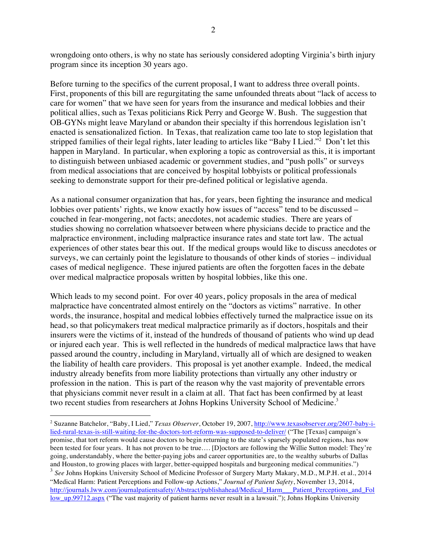wrongdoing onto others, is why no state has seriously considered adopting Virginia's birth injury program since its inception 30 years ago.

Before turning to the specifics of the current proposal, I want to address three overall points. First, proponents of this bill are regurgitating the same unfounded threats about "lack of access to care for women" that we have seen for years from the insurance and medical lobbies and their political allies, such as Texas politicians Rick Perry and George W. Bush. The suggestion that OB-GYNs might leave Maryland or abandon their specialty if this horrendous legislation isn't enacted is sensationalized fiction. In Texas, that realization came too late to stop legislation that stripped families of their legal rights, later leading to articles like "Baby I Lied."<sup>2</sup> Don't let this happen in Maryland. In particular, when exploring a topic as controversial as this, it is important to distinguish between unbiased academic or government studies, and "push polls" or surveys from medical associations that are conceived by hospital lobbyists or political professionals seeking to demonstrate support for their pre-defined political or legislative agenda.

As a national consumer organization that has, for years, been fighting the insurance and medical lobbies over patients' rights, we know exactly how issues of "access" tend to be discussed – couched in fear-mongering, not facts; anecdotes, not academic studies. There are years of studies showing no correlation whatsoever between where physicians decide to practice and the malpractice environment, including malpractice insurance rates and state tort law. The actual experiences of other states bear this out. If the medical groups would like to discuss anecdotes or surveys, we can certainly point the legislature to thousands of other kinds of stories – individual cases of medical negligence. These injured patients are often the forgotten faces in the debate over medical malpractice proposals written by hospital lobbies, like this one.

Which leads to my second point. For over 40 years, policy proposals in the area of medical malpractice have concentrated almost entirely on the "doctors as victims" narrative. In other words, the insurance, hospital and medical lobbies effectively turned the malpractice issue on its head, so that policymakers treat medical malpractice primarily as if doctors, hospitals and their insurers were the victims of it, instead of the hundreds of thousand of patients who wind up dead or injured each year. This is well reflected in the hundreds of medical malpractice laws that have passed around the country, including in Maryland, virtually all of which are designed to weaken the liability of health care providers. This proposal is yet another example. Indeed, the medical industry already benefits from more liability protections than virtually any other industry or profession in the nation. This is part of the reason why the vast majority of preventable errors that physicians commit never result in a claim at all*.* That fact has been confirmed by at least two recent studies from researchers at Johns Hopkins University School of Medicine.<sup>3</sup>

 <sup>2</sup> Suzanne Batchelor, "Baby, I Lied," *Texas Observer*, October 19, 2007, http://www.texasobserver.org/2607-baby-ilied-rural-texas-is-still-waiting-for-the-doctors-tort-reform-was-supposed-to-deliver/ ("The [Texas] campaign's promise, that tort reform would cause doctors to begin returning to the state's sparsely populated regions, has now been tested for four years. It has not proven to be true…. [D]octors are following the Willie Sutton model: They're going, understandably, where the better-paying jobs and career opportunities are, to the wealthy suburbs of Dallas and Houston, to growing places with larger, better-equipped hospitals and burgeoning medical communities.") <sup>3</sup> See Johns Hopkins University School of Medicine Professor of Surgery Marty Makary, M.D., M.P.H. et al., 2014 "Medical Harm: Patient Perceptions and Follow-up Actions," *Journal of Patient Safety*, November 13, 2014, http://journals.lww.com/journalpatientsafety/Abstract/publishahead/Medical\_Harm\_\_\_Patient\_Perceptions\_and\_Fol low\_up.99712.aspx ("The vast majority of patient harms never result in a lawsuit."); Johns Hopkins University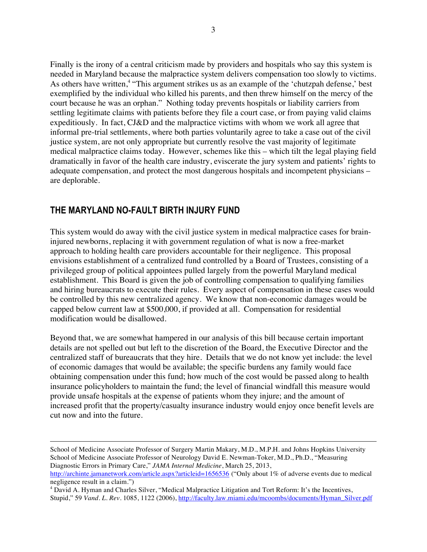Finally is the irony of a central criticism made by providers and hospitals who say this system is needed in Maryland because the malpractice system delivers compensation too slowly to victims. As others have written,<sup>4</sup> "This argument strikes us as an example of the 'chutzpah defense,' best exemplified by the individual who killed his parents, and then threw himself on the mercy of the court because he was an orphan." Nothing today prevents hospitals or liability carriers from settling legitimate claims with patients before they file a court case, or from paying valid claims expeditiously. In fact, CJ&D and the malpractice victims with whom we work all agree that informal pre-trial settlements, where both parties voluntarily agree to take a case out of the civil justice system, are not only appropriate but currently resolve the vast majority of legitimate medical malpractice claims today. However, schemes like this – which tilt the legal playing field dramatically in favor of the health care industry, eviscerate the jury system and patients' rights to adequate compensation, and protect the most dangerous hospitals and incompetent physicians – are deplorable.

## **THE MARYLAND NO-FAULT BIRTH INJURY FUND**

 $\overline{a}$ 

This system would do away with the civil justice system in medical malpractice cases for braininjured newborns, replacing it with government regulation of what is now a free-market approach to holding health care providers accountable for their negligence. This proposal envisions establishment of a centralized fund controlled by a Board of Trustees, consisting of a privileged group of political appointees pulled largely from the powerful Maryland medical establishment. This Board is given the job of controlling compensation to qualifying families and hiring bureaucrats to execute their rules. Every aspect of compensation in these cases would be controlled by this new centralized agency. We know that non-economic damages would be capped below current law at \$500,000, if provided at all. Compensation for residential modification would be disallowed.

Beyond that, we are somewhat hampered in our analysis of this bill because certain important details are not spelled out but left to the discretion of the Board, the Executive Director and the centralized staff of bureaucrats that they hire. Details that we do not know yet include: the level of economic damages that would be available; the specific burdens any family would face obtaining compensation under this fund; how much of the cost would be passed along to health insurance policyholders to maintain the fund; the level of financial windfall this measure would provide unsafe hospitals at the expense of patients whom they injure; and the amount of increased profit that the property/casualty insurance industry would enjoy once benefit levels are cut now and into the future.

School of Medicine Associate Professor of Surgery Martin Makary, M.D., M.P.H. and Johns Hopkins University School of Medicine Associate Professor of Neurology David E. Newman-Toker, M.D., Ph.D., "Measuring Diagnostic Errors in Primary Care," *JAMA Internal Medicine*, March 25, 2013,

http://archinte.jamanetwork.com/article.aspx?articleid=1656536 ("Only about 1% of adverse events due to medical negligence result in a claim.")

<sup>&</sup>lt;sup>4</sup> David A. Hyman and Charles Silver, "Medical Malpractice Litigation and Tort Reform: It's the Incentives, Stupid," 59 *Vand. L. Rev.* 1085, 1122 (2006), http://faculty.law.miami.edu/mcoombs/documents/Hyman\_Silver.pdf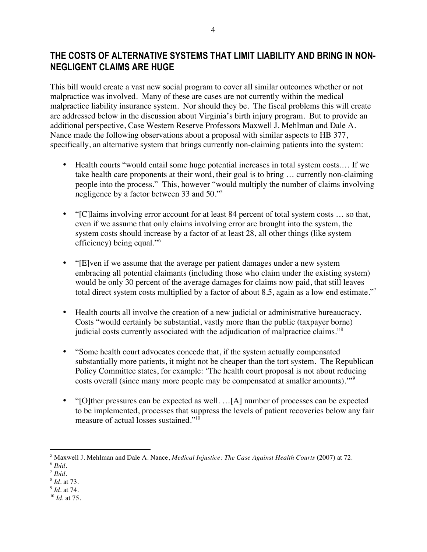## **THE COSTS OF ALTERNATIVE SYSTEMS THAT LIMIT LIABILITY AND BRING IN NON-NEGLIGENT CLAIMS ARE HUGE**

This bill would create a vast new social program to cover all similar outcomes whether or not malpractice was involved. Many of these are cases are not currently within the medical malpractice liability insurance system. Nor should they be. The fiscal problems this will create are addressed below in the discussion about Virginia's birth injury program. But to provide an additional perspective, Case Western Reserve Professors Maxwell J. Mehlman and Dale A. Nance made the following observations about a proposal with similar aspects to HB 377, specifically, an alternative system that brings currently non-claiming patients into the system:

- Health courts "would entail some huge potential increases in total system costs.... If we take health care proponents at their word, their goal is to bring … currently non-claiming people into the process." This, however "would multiply the number of claims involving negligence by a factor between 33 and 50."5
- "[C] laims involving error account for at least 84 percent of total system costs ... so that, even if we assume that only claims involving error are brought into the system, the system costs should increase by a factor of at least 28, all other things (like system efficiency) being equal."<sup>6</sup>
- "[E]ven if we assume that the average per patient damages under a new system embracing all potential claimants (including those who claim under the existing system) would be only 30 percent of the average damages for claims now paid, that still leaves total direct system costs multiplied by a factor of about 8.5, again as a low end estimate."<sup>7</sup>
- Health courts all involve the creation of a new judicial or administrative bureaucracy. Costs "would certainly be substantial, vastly more than the public (taxpayer borne) judicial costs currently associated with the adjudication of malpractice claims."<sup>8</sup>
- "Some health court advocates concede that, if the system actually compensated substantially more patients, it might not be cheaper than the tort system. The Republican Policy Committee states, for example: 'The health court proposal is not about reducing costs overall (since many more people may be compensated at smaller amounts).'"<sup>9</sup>
- "[O]ther pressures can be expected as well. …[A] number of processes can be expected to be implemented, processes that suppress the levels of patient recoveries below any fair measure of actual losses sustained."<sup>10</sup>

- <sup>8</sup> *Id.* at 73. <sup>9</sup> *Id.* at 74.
- <sup>10</sup> *Id.* at 75.

 <sup>5</sup> Maxwell J. Mehlman and Dale A. Nance, *Medical Injustice: The Case Against Health Courts* (2007) at 72.  $6$  *Ibid.* 

 $^7$  *Ibid.*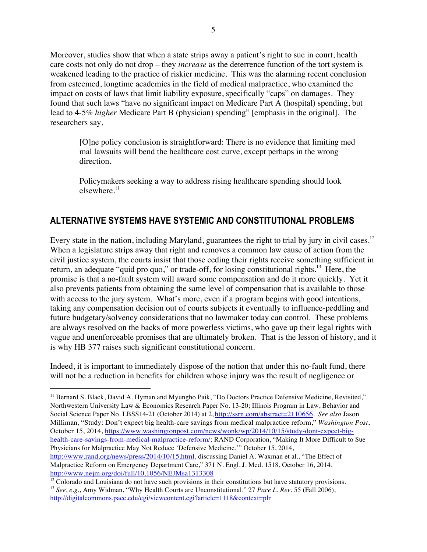Moreover, studies show that when a state strips away a patient's right to sue in court, health care costs not only do not drop – they *increase* as the deterrence function of the tort system is weakened leading to the practice of riskier medicine. This was the alarming recent conclusion from esteemed, longtime academics in the field of medical malpractice, who examined the impact on costs of laws that limit liability exposure, specifically "caps" on damages. They found that such laws "have no significant impact on Medicare Part A (hospital) spending, but lead to 4-5% *higher* Medicare Part B (physician) spending" [emphasis in the original]. The researchers say,

[O]ne policy conclusion is straightforward: There is no evidence that limiting med mal lawsuits will bend the healthcare cost curve, except perhaps in the wrong direction.

Policymakers seeking a way to address rising healthcare spending should look elsewhere. $11$ 

## **ALTERNATIVE SYSTEMS HAVE SYSTEMIC AND CONSTITUTIONAL PROBLEMS**

Every state in the nation, including Maryland, guarantees the right to trial by jury in civil cases.<sup>12</sup> When a legislature strips away that right and removes a common law cause of action from the civil justice system, the courts insist that those ceding their rights receive something sufficient in return, an adequate "quid pro quo," or trade-off, for losing constitutional rights.<sup>13</sup> Here, the promise is that a no-fault system will award some compensation and do it more quickly. Yet it also prevents patients from obtaining the same level of compensation that is available to those with access to the jury system. What's more, even if a program begins with good intentions, taking any compensation decision out of courts subjects it eventually to influence-peddling and future budgetary/solvency considerations that no lawmaker today can control. These problems are always resolved on the backs of more powerless victims, who gave up their legal rights with vague and unenforceable promises that are ultimately broken. That is the lesson of history, and it is why HB 377 raises such significant constitutional concern.

Indeed, it is important to immediately dispose of the notion that under this no-fault fund, there will not be a reduction in benefits for children whose injury was the result of negligence or

<sup>&</sup>lt;sup>11</sup> Bernard S. Black, David A. Hyman and Myungho Paik, "Do Doctors Practice Defensive Medicine, Revisited," Northwestern University Law & Economics Research Paper No. 13-20; Illinois Program in Law, Behavior and Social Science Paper No. LBSS14-21 (October 2014) at 2, http://ssrn.com/abstract=2110656. *See also* Jason Milliman, "Study: Don't expect big health-care savings from medical malpractice reform," *Washington Post*, October 15, 2014, https://www.washingtonpost.com/news/wonk/wp/2014/10/15/study-dont-expect-bighealth-care-savings-from-medical-malpractice-reform/; RAND Corporation, "Making It More Difficult to Sue Physicians for Malpractice May Not Reduce 'Defensive Medicine,'" October 15, 2014, http://www.rand.org/news/press/2014/10/15.html, discussing Daniel A. Waxman et al., "The Effect of Malpractice Reform on Emergency Department Care," 371 N. Engl. J. Med. 1518, October 16, 2014, http://www.nejm.org/doi/full/10.1056/NEJMsa1313308

 $12$  Colorado and Louisiana do not have such provisions in their constitutions but have statutory provisions. <sup>13</sup> *See*, *e.g*., Amy Widman, "Why Health Courts are Unconstitutional," 27 *Pace L. Rev.* 55 (Fall 2006), http://digitalcommons.pace.edu/cgi/viewcontent.cgi?article=1118&context=plr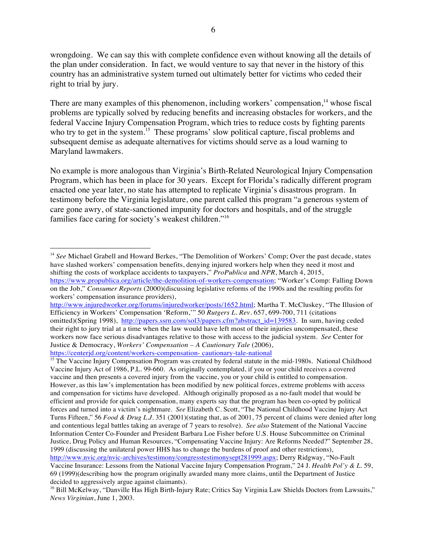wrongdoing. We can say this with complete confidence even without knowing all the details of the plan under consideration. In fact, we would venture to say that never in the history of this country has an administrative system turned out ultimately better for victims who ceded their right to trial by jury.

There are many examples of this phenomenon, including workers' compensation, $14$  whose fiscal problems are typically solved by reducing benefits and increasing obstacles for workers, and the federal Vaccine Injury Compensation Program, which tries to reduce costs by fighting parents who try to get in the system.<sup>15</sup> These programs' slow political capture, fiscal problems and subsequent demise as adequate alternatives for victims should serve as a loud warning to Maryland lawmakers.

No example is more analogous than Virginia's Birth-Related Neurological Injury Compensation Program, which has been in place for 30 years. Except for Florida's radically different program enacted one year later, no state has attempted to replicate Virginia's disastrous program. In testimony before the Virginia legislature, one parent called this program "a generous system of care gone awry, of state-sanctioned impunity for doctors and hospitals, and of the struggle families face caring for society's weakest children."<sup>16</sup>

<sup>&</sup>lt;sup>14</sup> See Michael Grabell and Howard Berkes, "The Demolition of Workers' Comp; Over the past decade, states have slashed workers' compensation benefits, denying injured workers help when they need it most and shifting the costs of workplace accidents to taxpayers," *ProPublica* and *NPR*, March 4, 2015, https://www.propublica.org/article/the-demolition-of-workers-compensation; "Worker's Comp: Falling Down

on the Job," *Consumer Reports* (2000)(discussing legislative reforms of the 1990s and the resulting profits for workers' compensation insurance providers),

http://www.injuredworker.org/forums/injuredworker/posts/1652.html; Martha T. McCluskey, "The Illusion of Efficiency in Workers' Compensation 'Reform,'" 50 *Rutgers L. Rev.* 657, 699-700, 711 (citations omitted)(Spring 1998), http://papers.ssrn.com/sol3/papers.cfm?abstract\_id=139583. In sum, having ceded their right to jury trial at a time when the law would have left most of their injuries uncompensated, these workers now face serious disadvantages relative to those with access to the judicial system. *See* Center for Justice & Democracy, *Workers' Compensation – A Cautionary Tale* (2006), https://centerjd.org/content/workers-compensation- cautionary-tale-national

<sup>&</sup>lt;sup>15</sup> The Vaccine Injury Compensation Program was created by federal statute in the mid-1980s. National Childhood Vaccine Injury Act of 1986, P.L. 99-660. As originally contemplated, if you or your child receives a covered vaccine and then presents a covered injury from the vaccine, you or your child is entitled to compensation. However, as this law's implementation has been modified by new political forces, extreme problems with access and compensation for victims have developed. Although originally proposed as a no-fault model that would be efficient and provide for quick compensation, many experts say that the program has been co-opted by political forces and turned into a victim's nightmare. *See* Elizabeth C. Scott, "The National Childhood Vaccine Injury Act Turns Fifteen," 56 *Food & Drug L.J.* 351 (2001)(stating that, as of 2001, 75 percent of claims were denied after long and contentious legal battles taking an average of 7 years to resolve). *See also* Statement of the National Vaccine Information Center Co-Founder and President Barbara Loe Fisher before U.S. House Subcommittee on Criminal Justice, Drug Policy and Human Resources, "Compensating Vaccine Injury: Are Reforms Needed?" September 28, 1999 (discussing the unilateral power HHS has to change the burdens of proof and other restrictions), http://www.nvic.org/nvic-archives/testimony/congresstestimonysept281999.aspx; Derry Ridgway, "No-Fault

Vaccine Insurance: Lessons from the National Vaccine Injury Compensation Program," 24 J. *Health Pol'y & L.* 59, 69 (1999)(describing how the program originally awarded many more claims, until the Department of Justice decided to aggressively argue against claimants).

<sup>&</sup>lt;sup>16</sup> Bill McKelway, "Danville Has High Birth-Injury Rate; Critics Say Virginia Law Shields Doctors from Lawsuits," *News Virginian*, June 1, 2003.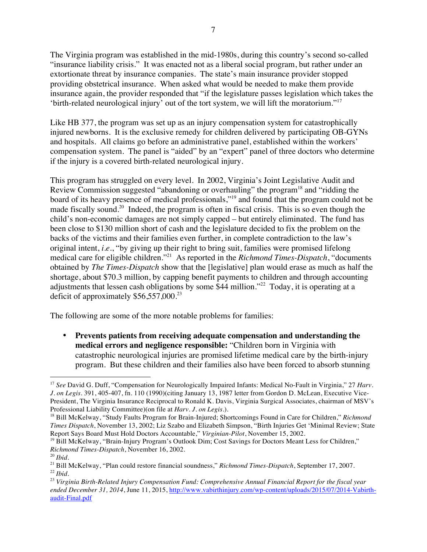The Virginia program was established in the mid-1980s, during this country's second so-called "insurance liability crisis." It was enacted not as a liberal social program, but rather under an extortionate threat by insurance companies. The state's main insurance provider stopped providing obstetrical insurance. When asked what would be needed to make them provide insurance again, the provider responded that "if the legislature passes legislation which takes the 'birth-related neurological injury' out of the tort system, we will lift the moratorium."<sup>17</sup>

Like HB 377, the program was set up as an injury compensation system for catastrophically injured newborns. It is the exclusive remedy for children delivered by participating OB-GYNs and hospitals. All claims go before an administrative panel, established within the workers' compensation system. The panel is "aided" by an "expert" panel of three doctors who determine if the injury is a covered birth-related neurological injury.

This program has struggled on every level. In 2002, Virginia's Joint Legislative Audit and Review Commission suggested "abandoning or overhauling" the program<sup>18</sup> and "ridding the board of its heavy presence of medical professionals,"<sup>19</sup> and found that the program could not be made fiscally sound.<sup>20</sup> Indeed, the program is often in fiscal crisis. This is so even though the child's non-economic damages are not simply capped – but entirely eliminated. The fund has been close to \$130 million short of cash and the legislature decided to fix the problem on the backs of the victims and their families even further, in complete contradiction to the law's original intent, *i.e.*, "by giving up their right to bring suit, families were promised lifelong medical care for eligible children."21 As reported in the *Richmond Times-Dispatch*, "documents obtained by *The Times-Dispatch* show that the [legislative] plan would erase as much as half the shortage, about \$70.3 million, by capping benefit payments to children and through accounting adjustments that lessen cash obligations by some  $$44$  million."<sup>22</sup> Today, it is operating at a deficit of approximately  $$56,557,000.<sup>23</sup>$ 

The following are some of the more notable problems for families:

• **Prevents patients from receiving adequate compensation and understanding the medical errors and negligence responsible:** "Children born in Virginia with catastrophic neurological injuries are promised lifetime medical care by the birth-injury program. But these children and their families also have been forced to absorb stunning

<sup>&</sup>lt;sup>17</sup> *See* David G. Duff, "Compensation for Neurologically Impaired Infants: Medical No-Fault in Virginia," 27 *Harv*. *J. on Legis.* 391, 405-407, fn. 110 (1990)(citing January 13, 1987 letter from Gordon D. McLean, Executive Vice-President, The Virginia Insurance Reciprocal to Ronald K. Davis, Virginia Surgical Associates, chairman of MSV's Professional Liability Committee)(on file at *Harv. J. on Legis.*).

<sup>18</sup> Bill McKelway, "Study Faults Program for Brain-Injured; Shortcomings Found in Care for Children," *Richmond Times Dispatch*, November 13, 2002; Liz Szabo and Elizabeth Simpson, "Birth Injuries Get 'Minimal Review; State Report Says Board Must Hold Doctors Accountable," *Virginian-Pilot*, November 15, 2002.

<sup>19</sup> Bill McKelway, "Brain-Injury Program's Outlook Dim; Cost Savings for Doctors Meant Less for Children," *Richmond Times-Dispatch*, November 16, 2002.

<sup>20</sup> *Ibid.*

<sup>21</sup> Bill McKelway, "Plan could restore financial soundness," *Richmond Times-Dispatch*, September 17, 2007. <sup>22</sup> *Ibid.*

<sup>23</sup> *Virginia Birth-Related Injury Compensation Fund: Comprehensive Annual Financial Report for the fiscal year ended December 31, 2014*, June 11, 2015, http://www.vabirthinjury.com/wp-content/uploads/2015/07/2014-Vabirthaudit-Final.pdf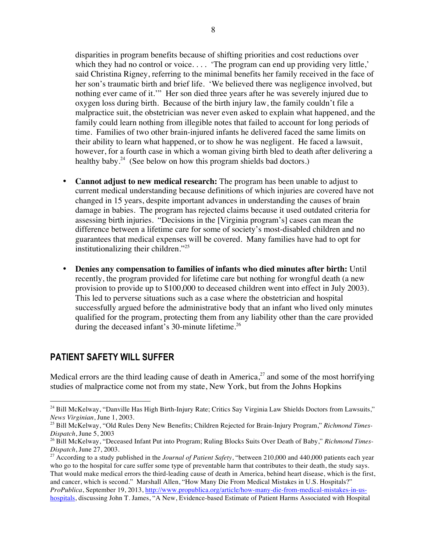disparities in program benefits because of shifting priorities and cost reductions over which they had no control or voice.... 'The program can end up providing very little,' said Christina Rigney, referring to the minimal benefits her family received in the face of her son's traumatic birth and brief life. 'We believed there was negligence involved, but nothing ever came of it.'" Her son died three years after he was severely injured due to oxygen loss during birth. Because of the birth injury law, the family couldn't file a malpractice suit, the obstetrician was never even asked to explain what happened, and the family could learn nothing from illegible notes that failed to account for long periods of time. Families of two other brain-injured infants he delivered faced the same limits on their ability to learn what happened, or to show he was negligent. He faced a lawsuit, however, for a fourth case in which a woman giving birth bled to death after delivering a healthy baby.<sup>24</sup> (See below on how this program shields bad doctors.)

- **Cannot adjust to new medical research:** The program has been unable to adjust to current medical understanding because definitions of which injuries are covered have not changed in 15 years, despite important advances in understanding the causes of brain damage in babies. The program has rejected claims because it used outdated criteria for assessing birth injuries. "Decisions in the [Virginia program's] cases can mean the difference between a lifetime care for some of society's most-disabled children and no guarantees that medical expenses will be covered. Many families have had to opt for institutionalizing their children."25
- **Denies any compensation to families of infants who died minutes after birth:** Until recently, the program provided for lifetime care but nothing for wrongful death (a new provision to provide up to \$100,000 to deceased children went into effect in July 2003). This led to perverse situations such as a case where the obstetrician and hospital successfully argued before the administrative body that an infant who lived only minutes qualified for the program, protecting them from any liability other than the care provided during the deceased infant's 30-minute lifetime.<sup>26</sup>

### **PATIENT SAFETY WILL SUFFER**

Medical errors are the third leading cause of death in America, $^{27}$  and some of the most horrifying studies of malpractice come not from my state, New York, but from the Johns Hopkins

<sup>&</sup>lt;sup>24</sup> Bill McKelway, "Danville Has High Birth-Injury Rate; Critics Say Virginia Law Shields Doctors from Lawsuits," *News Virginian*, June 1, 2003.

<sup>25</sup> Bill McKelway, "Old Rules Deny New Benefits; Children Rejected for Brain-Injury Program," *Richmond Times-Dispatch*, June 5, 2003

<sup>26</sup> Bill McKelway, "Deceased Infant Put into Program; Ruling Blocks Suits Over Death of Baby," *Richmond Times-Dispatch*, June 27, 2003.

<sup>&</sup>lt;sup>27</sup> According to a study published in the *Journal of Patient Safety*, "between 210,000 and 440,000 patients each year who go to the hospital for care suffer some type of preventable harm that contributes to their death, the study says. That would make medical errors the third-leading cause of death in America, behind heart disease, which is the first, and cancer, which is second." Marshall Allen, "How Many Die From Medical Mistakes in U.S. Hospitals?" *ProPublica*, September 19, 2013, http://www.propublica.org/article/how-many-die-from-medical-mistakes-in-ushospitals, discussing John T. James, "A New, Evidence-based Estimate of Patient Harms Associated with Hospital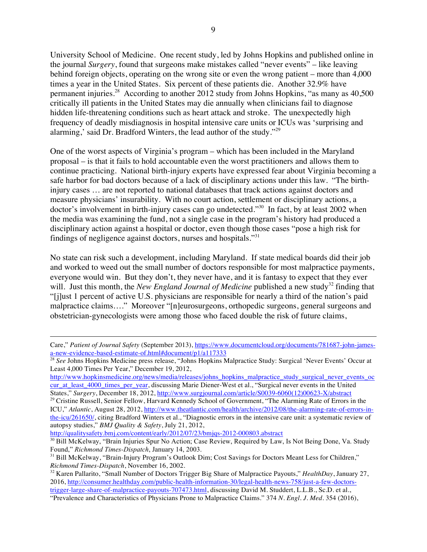University School of Medicine. One recent study, led by Johns Hopkins and published online in the journal *Surgery*, found that surgeons make mistakes called "never events" – like leaving behind foreign objects, operating on the wrong site or even the wrong patient – more than 4,000 times a year in the United States. Six percent of these patients die. Another 32.9% have permanent injuries.<sup>28</sup> According to another 2012 study from Johns Hopkins, "as many as 40,500 critically ill patients in the United States may die annually when clinicians fail to diagnose hidden life-threatening conditions such as heart attack and stroke. The unexpectedly high frequency of deadly misdiagnosis in hospital intensive care units or ICUs was 'surprising and alarming,' said Dr. Bradford Winters, the lead author of the study."<sup>29</sup>

One of the worst aspects of Virginia's program – which has been included in the Maryland proposal – is that it fails to hold accountable even the worst practitioners and allows them to continue practicing. National birth-injury experts have expressed fear about Virginia becoming a safe harbor for bad doctors because of a lack of disciplinary actions under this law. "The birthinjury cases … are not reported to national databases that track actions against doctors and measure physicians' insurability. With no court action, settlement or disciplinary actions, a doctor's involvement in birth-injury cases can go undetected."<sup>30</sup> In fact, by at least 2002 when the media was examining the fund, not a single case in the program's history had produced a disciplinary action against a hospital or doctor, even though those cases "pose a high risk for findings of negligence against doctors, nurses and hospitals."31

No state can risk such a development, including Maryland. If state medical boards did their job and worked to weed out the small number of doctors responsible for most malpractice payments, everyone would win. But they don't, they never have, and it is fantasy to expect that they ever will. Just this month, the *New England Journal of Medicine* published a new study<sup>32</sup> finding that "[j]ust 1 percent of active U.S. physicians are responsible for nearly a third of the nation's paid malpractice claims…." Moreover "[n]eurosurgeons, orthopedic surgeons, general surgeons and obstetrician-gynecologists were among those who faced double the risk of future claims,

http://qualitysafety.bmj.com/content/early/2012/07/23/bmjqs-2012-000803.abstract

 $\overline{a}$ 

Care," *Patient of Journal Safety* (September 2013), https://www.documentcloud.org/documents/781687-john-jamesa-new-evidence-based-estimate-of.html#document/p1/a117333

<sup>&</sup>lt;sup>28</sup> See Johns Hopkins Medicine press release, "Johns Hopkins Malpractice Study: Surgical 'Never Events' Occur at Least 4,000 Times Per Year," December 19, 2012,

http://www.hopkinsmedicine.org/news/media/releases/johns\_hopkins\_malpractice\_study\_surgical\_never\_events\_oc cur\_at\_least\_4000\_times\_per\_year, discussing Marie Diener-West et al., "Surgical never events in the United States," *Surgery*, December 18, 2012, http://www.surgjournal.com/article/S0039-6060(12)00623-X/abstract

<sup>&</sup>lt;sup>29</sup> Cristine Russell, Senior Fellow, Harvard Kennedy School of Government, "The Alarming Rate of Errors in the ICU," *Atlantic*, August 28, 2012, http://www.theatlantic.com/health/archive/2012/08/the-alarming-rate-of-errors-inthe-icu/261650/, citing Bradford Winters et al., "Diagnostic errors in the intensive care unit: a systematic review of autopsy studies," *BMJ Quality & Safety*, July 21, 2012,

<sup>&</sup>lt;sup>30</sup> Bill McKelway, "Brain Injuries Spur No Action; Case Review, Required by Law, Is Not Being Done, Va. Study Found," *Richmond Times-Dispatch*, January 14, 2003.

<sup>&</sup>lt;sup>31</sup> Bill McKelway, "Brain-Injury Program's Outlook Dim; Cost Savings for Doctors Meant Less for Children," *Richmond Times-Dispatch*, November 16, 2002.

<sup>32</sup> Karen Pallarito, "Small Number of Doctors Trigger Big Share of Malpractice Payouts," *HealthDay*, January 27, 2016, http://consumer.healthday.com/public-health-information-30/legal-health-news-758/just-a-few-doctorstrigger-large-share-of-malpractice-payouts-707473.html, discussing David M. Studdert, L.L.B., Sc.D. et al.,

<sup>&</sup>quot;Prevalence and Characteristics of Physicians Prone to Malpractice Claims." 374 *N. Engl. J. Med.* 354 (2016),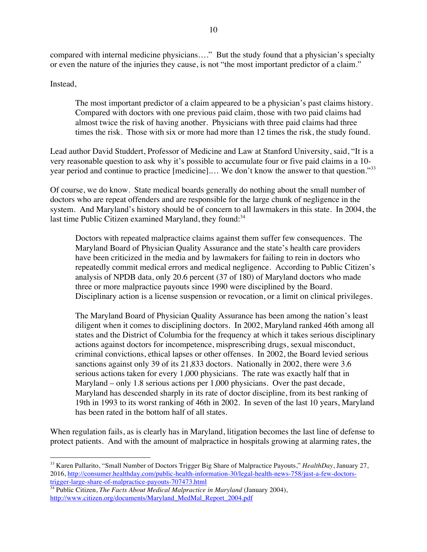compared with internal medicine physicians…." But the study found that a physician's specialty or even the nature of the injuries they cause, is not "the most important predictor of a claim."

Instead,

The most important predictor of a claim appeared to be a physician's past claims history. Compared with doctors with one previous paid claim, those with two paid claims had almost twice the risk of having another. Physicians with three paid claims had three times the risk. Those with six or more had more than 12 times the risk, the study found.

Lead author David Studdert, Professor of Medicine and Law at Stanford University, said, "It is a very reasonable question to ask why it's possible to accumulate four or five paid claims in a 10 year period and continue to practice [medicine].… We don't know the answer to that question."33

Of course, we do know. State medical boards generally do nothing about the small number of doctors who are repeat offenders and are responsible for the large chunk of negligence in the system. And Maryland's history should be of concern to all lawmakers in this state. In 2004, the last time Public Citizen examined Maryland, they found: $34$ 

Doctors with repeated malpractice claims against them suffer few consequences. The Maryland Board of Physician Quality Assurance and the state's health care providers have been criticized in the media and by lawmakers for failing to rein in doctors who repeatedly commit medical errors and medical negligence. According to Public Citizen's analysis of NPDB data, only 20.6 percent (37 of 180) of Maryland doctors who made three or more malpractice payouts since 1990 were disciplined by the Board. Disciplinary action is a license suspension or revocation, or a limit on clinical privileges.

The Maryland Board of Physician Quality Assurance has been among the nation's least diligent when it comes to disciplining doctors. In 2002, Maryland ranked 46th among all states and the District of Columbia for the frequency at which it takes serious disciplinary actions against doctors for incompetence, misprescribing drugs, sexual misconduct, criminal convictions, ethical lapses or other offenses. In 2002, the Board levied serious sanctions against only 39 of its 21,833 doctors. Nationally in 2002, there were 3.6 serious actions taken for every 1,000 physicians. The rate was exactly half that in Maryland – only 1.8 serious actions per 1,000 physicians. Over the past decade, Maryland has descended sharply in its rate of doctor discipline, from its best ranking of 19th in 1993 to its worst ranking of 46th in 2002. In seven of the last 10 years, Maryland has been rated in the bottom half of all states.

When regulation fails, as is clearly has in Maryland, litigation becomes the last line of defense to protect patients. And with the amount of malpractice in hospitals growing at alarming rates, the

 <sup>33</sup> Karen Pallarito, "Small Number of Doctors Trigger Big Share of Malpractice Payouts," *HealthDay*, January 27, 2016, http://consumer.healthday.com/public-health-information-30/legal-health-news-758/just-a-few-doctorstrigger-large-share-of-malpractice-payouts-707473.html

<sup>34</sup> Public Citizen, *The Facts About Medical Malpractice in Maryland* (January 2004), http://www.citizen.org/documents/Maryland\_MedMal\_Report\_2004.pdf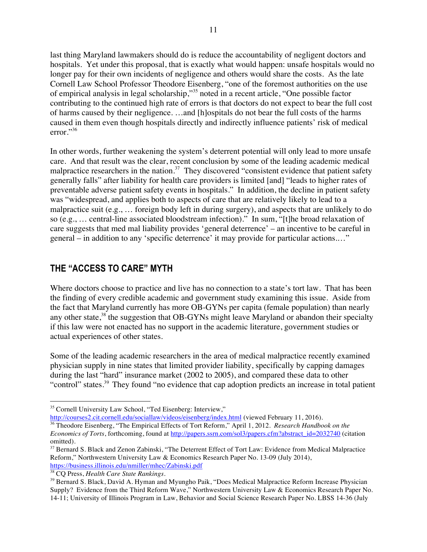last thing Maryland lawmakers should do is reduce the accountability of negligent doctors and hospitals. Yet under this proposal, that is exactly what would happen: unsafe hospitals would no longer pay for their own incidents of negligence and others would share the costs. As the late Cornell Law School Professor Theodore Eisenberg, "one of the foremost authorities on the use of empirical analysis in legal scholarship,"<sup>35</sup> noted in a recent article, "One possible factor contributing to the continued high rate of errors is that doctors do not expect to bear the full cost of harms caused by their negligence. …and [h]ospitals do not bear the full costs of the harms caused in them even though hospitals directly and indirectly influence patients' risk of medical error."<sup>36</sup>

In other words, further weakening the system's deterrent potential will only lead to more unsafe care. And that result was the clear, recent conclusion by some of the leading academic medical malpractice researchers in the nation.<sup>37</sup> They discovered "consistent evidence that patient safety generally falls" after liability for health care providers is limited [and] "leads to higher rates of preventable adverse patient safety events in hospitals." In addition, the decline in patient safety was "widespread, and applies both to aspects of care that are relatively likely to lead to a malpractice suit (e.g., … foreign body left in during surgery), and aspects that are unlikely to do so (e.g., … central-line associated bloodstream infection)." In sum, "[t]he broad relaxation of care suggests that med mal liability provides 'general deterrence' – an incentive to be careful in general – in addition to any 'specific deterrence' it may provide for particular actions.…"

### **THE "ACCESS TO CARE" MYTH**

Where doctors choose to practice and live has no connection to a state's tort law. That has been the finding of every credible academic and government study examining this issue. Aside from the fact that Maryland currently has more OB-GYNs per capita (female population) than nearly any other state,<sup>38</sup> the suggestion that OB-GYNs might leave Maryland or abandon their specialty if this law were not enacted has no support in the academic literature, government studies or actual experiences of other states.

Some of the leading academic researchers in the area of medical malpractice recently examined physician supply in nine states that limited provider liability, specifically by capping damages during the last "hard" insurance market (2002 to 2005), and compared these data to other "control" states.39 They found "no evidence that cap adoption predicts an increase in total patient

http://courses2.cit.cornell.edu/sociallaw/videos/eisenberg/index.html (viewed February 11, 2016).

<sup>&</sup>lt;sup>35</sup> Cornell University Law School, "Ted Eisenberg: Interview,"

<sup>36</sup> Theodore Eisenberg, "The Empirical Effects of Tort Reform," April 1, 2012. *Research Handbook on the Economics of Torts*, forthcoming, found at http://papers.ssrn.com/sol3/papers.cfm?abstract\_id=2032740 (citation omitted).

<sup>&</sup>lt;sup>37</sup> Bernard S. Black and Zenon Zabinski, "The Deterrent Effect of Tort Law: Evidence from Medical Malpractice Reform," Northwestern University Law & Economics Research Paper No. 13-09 (July 2014), https://business.illinois.edu/nmiller/mhec/Zabinski.pdf

<sup>38</sup> CQ Press, *Health Care State Rankings*.

<sup>&</sup>lt;sup>39</sup> Bernard S. Black, David A. Hyman and Myungho Paik, "Does Medical Malpractice Reform Increase Physician Supply? Evidence from the Third Reform Wave," Northwestern University Law & Economics Research Paper No. 14-11; University of Illinois Program in Law, Behavior and Social Science Research Paper No. LBSS 14-36 (July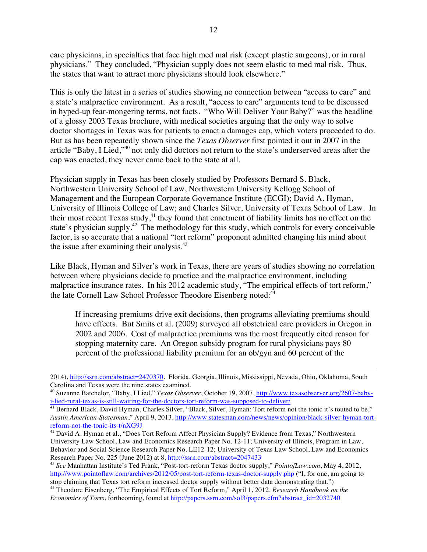care physicians, in specialties that face high med mal risk (except plastic surgeons), or in rural physicians." They concluded, "Physician supply does not seem elastic to med mal risk. Thus, the states that want to attract more physicians should look elsewhere."

This is only the latest in a series of studies showing no connection between "access to care" and a state's malpractice environment. As a result, "access to care" arguments tend to be discussed in hyped-up fear-mongering terms, not facts. "Who Will Deliver Your Baby?" was the headline of a glossy 2003 Texas brochure, with medical societies arguing that the only way to solve doctor shortages in Texas was for patients to enact a damages cap, which voters proceeded to do. But as has been repeatedly shown since the *Texas Observer* first pointed it out in 2007 in the article "Baby, I Lied,"<sup>40</sup> not only did doctors not return to the state's underserved areas after the cap was enacted, they never came back to the state at all.

Physician supply in Texas has been closely studied by Professors Bernard S. Black, Northwestern University School of Law, Northwestern University Kellogg School of Management and the European Corporate Governance Institute (ECGI); David A. Hyman, University of Illinois College of Law; and Charles Silver, University of Texas School of Law. In their most recent Texas study,<sup>41</sup> they found that enactment of liability limits has no effect on the state's physician supply.<sup>42</sup> The methodology for this study, which controls for every conceivable factor, is so accurate that a national "tort reform" proponent admitted changing his mind about the issue after examining their analysis.<sup>43</sup>

Like Black, Hyman and Silver's work in Texas, there are years of studies showing no correlation between where physicians decide to practice and the malpractice environment, including malpractice insurance rates. In his 2012 academic study, "The empirical effects of tort reform," the late Cornell Law School Professor Theodore Eisenberg noted:<sup>44</sup>

If increasing premiums drive exit decisions, then programs alleviating premiums should have effects. But Smits et al. (2009) surveyed all obstetrical care providers in Oregon in 2002 and 2006. Cost of malpractice premiums was the most frequently cited reason for stopping maternity care. An Oregon subsidy program for rural physicians pays 80 percent of the professional liability premium for an ob/gyn and 60 percent of the

 $\overline{a}$ 

<sup>2014),</sup> http://ssrn.com/abstract=2470370. Florida, Georgia, Illinois, Mississippi, Nevada, Ohio, Oklahoma, South Carolina and Texas were the nine states examined.

<sup>40</sup> Suzanne Batchelor, "Baby, I Lied." *Texas Observer*, October 19, 2007, http://www.texasobserver.org/2607-babyi-lied-rural-texas-is-still-waiting-for-the-doctors-tort-reform-was-supposed-to-deliver/

<sup>&</sup>lt;sup>41</sup> Bernard Black, David Hyman, Charles Silver, "Black, Silver, Hyman: Tort reform not the tonic it's touted to be," *Austin American-Statesman*," April 9, 2013, http://www.statesman.com/news/news/opinion/black-silver-hyman-tortreform-not-the-tonic-its-t/nXG9J

<sup>&</sup>lt;sup>42</sup> David A. Hyman et al., "Does Tort Reform Affect Physician Supply? Evidence from Texas," Northwestern University Law School, Law and Economics Research Paper No. 12-11; University of Illinois, Program in Law, Behavior and Social Science Research Paper No. LE12-12; University of Texas Law School, Law and Economics Research Paper No. 225 (June 2012) at 8, http://ssrn.com/abstract=2047433

<sup>43</sup> *See* Manhattan Institute's Ted Frank, "Post-tort-reform Texas doctor supply," *PointofLaw.com*, May 4, 2012, http://www.pointoflaw.com/archives/2012/05/post-tort-reform-texas-doctor-supply.php ("I, for one, am going to stop claiming that Texas tort reform increased doctor supply without better data demonstrating that.")

<sup>44</sup> Theodore Eisenberg, "The Empirical Effects of Tort Reform," April 1, 2012. *Research Handbook on the Economics of Torts*, forthcoming, found at http://papers.ssrn.com/sol3/papers.cfm?abstract\_id=2032740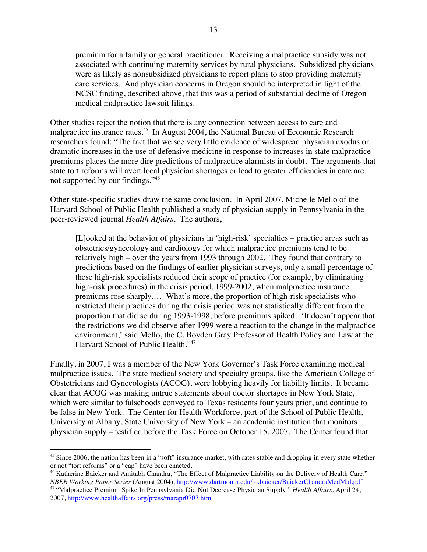premium for a family or general practitioner. Receiving a malpractice subsidy was not associated with continuing maternity services by rural physicians. Subsidized physicians were as likely as nonsubsidized physicians to report plans to stop providing maternity care services. And physician concerns in Oregon should be interpreted in light of the NCSC finding, described above, that this was a period of substantial decline of Oregon medical malpractice lawsuit filings.

Other studies reject the notion that there is any connection between access to care and malpractice insurance rates.<sup>45</sup> In August 2004, the National Bureau of Economic Research researchers found: "The fact that we see very little evidence of widespread physician exodus or dramatic increases in the use of defensive medicine in response to increases in state malpractice premiums places the more dire predictions of malpractice alarmists in doubt. The arguments that state tort reforms will avert local physician shortages or lead to greater efficiencies in care are not supported by our findings."46

Other state-specific studies draw the same conclusion. In April 2007, Michelle Mello of the Harvard School of Public Health published a study of physician supply in Pennsylvania in the peer-reviewed journal *Health Affairs.* The authors,

[L]ooked at the behavior of physicians in 'high-risk' specialties – practice areas such as obstetrics/gynecology and cardiology for which malpractice premiums tend to be relatively high – over the years from 1993 through 2002. They found that contrary to predictions based on the findings of earlier physician surveys, only a small percentage of these high-risk specialists reduced their scope of practice (for example, by eliminating high-risk procedures) in the crisis period, 1999-2002, when malpractice insurance premiums rose sharply.… What's more, the proportion of high-risk specialists who restricted their practices during the crisis period was not statistically different from the proportion that did so during 1993-1998, before premiums spiked. 'It doesn't appear that the restrictions we did observe after 1999 were a reaction to the change in the malpractice environment,' said Mello, the C. Boyden Gray Professor of Health Policy and Law at the Harvard School of Public Health."<sup>47</sup>

Finally, in 2007, I was a member of the New York Governor's Task Force examining medical malpractice issues. The state medical society and specialty groups, like the American College of Obstetricians and Gynecologists (ACOG), were lobbying heavily for liability limits. It became clear that ACOG was making untrue statements about doctor shortages in New York State, which were similar to falsehoods conveyed to Texas residents four years prior, and continue to be false in New York. The Center for Health Workforce, part of the School of Public Health, University at Albany, State University of New York – an academic institution that monitors physician supply – testified before the Task Force on October 15, 2007. The Center found that

 $45$  Since 2006, the nation has been in a "soft" insurance market, with rates stable and dropping in every state whether or not "tort reforms" or a "cap" have been enacted.

<sup>&</sup>lt;sup>46</sup> Katherine Baicker and Amitabh Chandra, "The Effect of Malpractice Liability on the Delivery of Health Care," *NBER Working Paper Series* (August 2004), http://www.dartmouth.edu/~kbaicker/BaickerChandraMedMal.pdf <sup>47</sup> "Malpractice Premium Spike In Pennsylvania Did Not Decrease Physician Supply," *Health Affairs,* April 24,

<sup>2007,</sup> http://www.healthaffairs.org/press/marapr0707.htm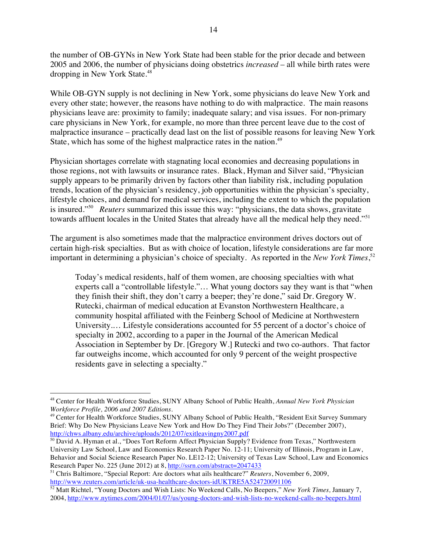the number of OB-GYNs in New York State had been stable for the prior decade and between 2005 and 2006, the number of physicians doing obstetrics *increased* – all while birth rates were dropping in New York State.<sup>48</sup>

While OB-GYN supply is not declining in New York, some physicians do leave New York and every other state; however, the reasons have nothing to do with malpractice. The main reasons physicians leave are: proximity to family; inadequate salary; and visa issues. For non-primary care physicians in New York, for example, no more than three percent leave due to the cost of malpractice insurance – practically dead last on the list of possible reasons for leaving New York State, which has some of the highest malpractice rates in the nation.<sup>49</sup>

Physician shortages correlate with stagnating local economies and decreasing populations in those regions, not with lawsuits or insurance rates. Black, Hyman and Silver said, "Physician supply appears to be primarily driven by factors other than liability risk, including population trends, location of the physician's residency, job opportunities within the physician's specialty, lifestyle choices, and demand for medical services, including the extent to which the population is insured."50 *Reuters* summarized this issue this way: "physicians, the data shows, gravitate towards affluent locales in the United States that already have all the medical help they need."<sup>51</sup>

The argument is also sometimes made that the malpractice environment drives doctors out of certain high-risk specialties. But as with choice of location, lifestyle considerations are far more important in determining a physician's choice of specialty. As reported in the *New York Times*, 52

Today's medical residents, half of them women, are choosing specialties with what experts call a "controllable lifestyle."… What young doctors say they want is that "when they finish their shift, they don't carry a beeper; they're done," said Dr. Gregory W. Rutecki, chairman of medical education at Evanston Northwestern Healthcare, a community hospital affiliated with the Feinberg School of Medicine at Northwestern University.… Lifestyle considerations accounted for 55 percent of a doctor's choice of specialty in 2002, according to a paper in the Journal of the American Medical Association in September by Dr. [Gregory W.] Rutecki and two co-authors. That factor far outweighs income, which accounted for only 9 percent of the weight prospective residents gave in selecting a specialty."

 <sup>48</sup> Center for Health Workforce Studies, SUNY Albany School of Public Health, *Annual New York Physician Workforce Profile, 2006 and 2007 Editions*.

<sup>49</sup> Center for Health Workforce Studies, SUNY Albany School of Public Health, "Resident Exit Survey Summary Brief: Why Do New Physicians Leave New York and How Do They Find Their Jobs?" (December 2007), http://chws.albany.edu/archive/uploads/2012/07/exitleavingny2007.pdf

<sup>&</sup>lt;sup>50</sup> David A. Hyman et al., "Does Tort Reform Affect Physician Supply? Evidence from Texas," Northwestern University Law School, Law and Economics Research Paper No. 12-11; University of Illinois, Program in Law, Behavior and Social Science Research Paper No. LE12-12; University of Texas Law School, Law and Economics Research Paper No. 225 (June 2012) at 8, http://ssrn.com/abstract=2047433

<sup>51</sup> Chris Baltimore, "Special Report: Are doctors what ails healthcare?" *Reuters*, November 6, 2009, http://www.reuters.com/article/uk-usa-healthcare-doctors-idUKTRE5A524720091106

<sup>&</sup>lt;sup>52</sup> Matt Richtel, "Young Doctors and Wish Lists: No Weekend Calls, No Beepers," *New York Times*, January 7, 2004, http://www.nytimes.com/2004/01/07/us/young-doctors-and-wish-lists-no-weekend-calls-no-beepers.html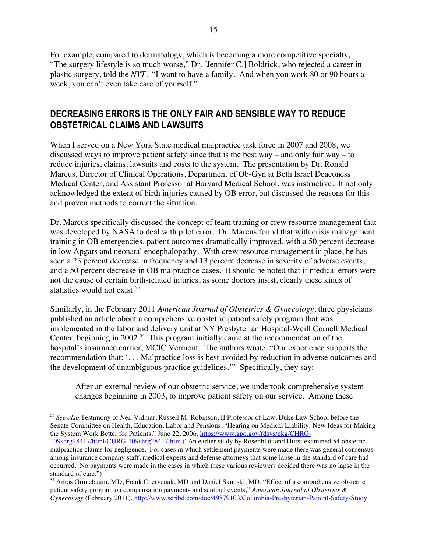For example, compared to dermatology, which is becoming a more competitive specialty, "The surgery lifestyle is so much worse," Dr. [Jennifer C.] Boldrick, who rejected a career in plastic surgery, told the *NYT*. "I want to have a family. And when you work 80 or 90 hours a week, you can't even take care of yourself."

## **DECREASING ERRORS IS THE ONLY FAIR AND SENSIBLE WAY TO REDUCE OBSTETRICAL CLAIMS AND LAWSUITS**

When I served on a New York State medical malpractice task force in 2007 and 2008, we discussed ways to improve patient safety since that is the best way – and only fair way – to reduce injuries, claims, lawsuits and costs to the system. The presentation by Dr. Ronald Marcus, Director of Clinical Operations, Department of Ob-Gyn at Beth Israel Deaconess Medical Center, and Assistant Professor at Harvard Medical School, was instructive. It not only acknowledged the extent of birth injuries caused by OB error, but discussed the reasons for this and proven methods to correct the situation.

Dr. Marcus specifically discussed the concept of team training or crew resource management that was developed by NASA to deal with pilot error. Dr. Marcus found that with crisis management training in OB emergencies, patient outcomes dramatically improved, with a 50 percent decrease in low Apgars and neonatal encephalopathy. With crew resource management in place, he has seen a 23 percent decrease in frequency and 13 percent decrease in severity of adverse events, and a 50 percent decrease in OB malpractice cases. It should be noted that if medical errors were not the cause of certain birth-related injuries, as some doctors insist, clearly these kinds of statistics would not exist.<sup>53</sup>

Similarly, in the February 2011 *American Journal of Obstetrics & Gynecology*, three physicians published an article about a comprehensive obstetric patient safety program that was implemented in the labor and delivery unit at NY Presbyterian Hospital-Weill Cornell Medical Center, beginning in  $2002<sup>54</sup>$ . This program initially came at the recommendation of the hospital's insurance carrier, MCIC Vermont. The authors wrote, "Our experience supports the recommendation that: '. . . Malpractice loss is best avoided by reduction in adverse outcomes and the development of unambiguous practice guidelines.'" Specifically, they say:

After an external review of our obstetric service, we undertook comprehensive system changes beginning in 2003, to improve patient safety on our service. Among these

 53 *See also* Testimony of Neil Vidmar, Russell M. Robinson, II Professor of Law, Duke Law School before the Senate Committee on Health, Education, Labor and Pensions, "Hearing on Medical Liability: New Ideas for Making the System Work Better for Patients," June 22, 2006, https://www.gpo.gov/fdsys/pkg/CHRG-

<sup>109</sup>shrg28417/html/CHRG-109shrg28417.htm ("An earlier study by Rosenblatt and Hurst examined 54 obstetric malpractice claims for negligence. For cases in which settlement payments were made there was general consensus among insurance company staff, medical experts and defense attorneys that some lapse in the standard of care had occurred. No payments were made in the cases in which these various reviewers decided there was no lapse in the standard of care.")

<sup>54</sup> Amos Grunebaum, MD, Frank Chervenak, MD and Daniel Skupski, MD, "Effect of a comprehensive obstetric patient safety program on compensation payments and sentinel events," *American Journal of Obstetrics & Gynecology* (February 2011), http://www.scribd.com/doc/49879103/Columbia-Presbyterian-Patient-Safety-Study